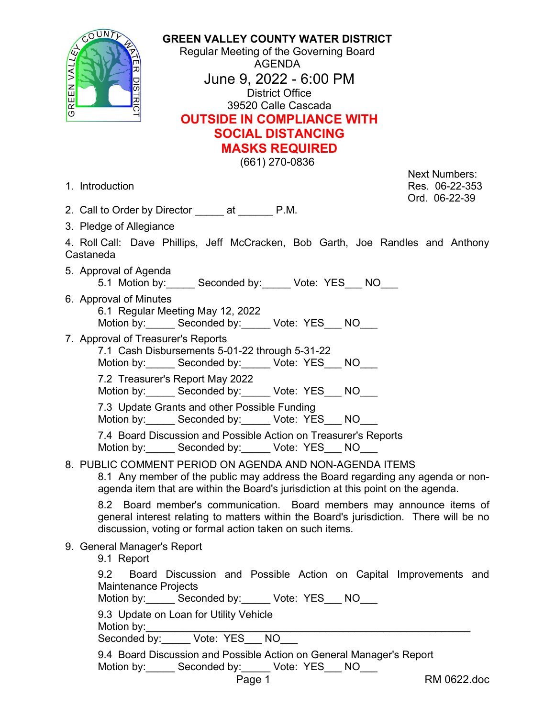OUNT GREEN VALL

**GREEN VALLEY COUNTY WATER DISTRICT** Regular Meeting of the Governing Board AGENDA June 9, 2022 - 6:00 PM District Office 39520 Calle Cascada **OUTSIDE IN COMPLIANCE WITH SOCIAL DISTANCING MASKS REQUIRED**

(661) 270-0836

Next Numbers: 1. Introduction Res. 06-22-353 Ord. 06-22-39

- 2. Call to Order by Director \_\_\_\_\_ at \_\_\_\_\_\_ P.M.
- 3. Pledge of Allegiance

4. Roll Call: Dave Phillips, Jeff McCracken, Bob Garth, Joe Randles and Anthony Castaneda

- 5. Approval of Agenda 5.1 Motion by: Seconded by: Vote: YES NO
- 6. Approval of Minutes
	- 6.1 Regular Meeting May 12, 2022 Motion by: \_\_\_\_\_ Seconded by: \_\_\_\_\_ Vote: YES\_\_\_ NO
- 7. Approval of Treasurer's Reports
	- 7.1 Cash Disbursements 5-01-22 through 5-31-22

Motion by: \_\_\_\_\_ Seconded by: \_\_\_\_\_ Vote: YES\_\_\_ NO

7.2 Treasurer's Report May 2022

Motion by: Seconded by: Vote: YES NO

7.3 Update Grants and other Possible Funding

Motion by: \_\_\_\_\_ Seconded by: \_\_\_\_\_ Vote: YES\_\_\_ NO

7.4 Board Discussion and Possible Action on Treasurer's Reports Motion by: \_\_\_\_\_ Seconded by: \_\_\_\_\_ Vote: YES\_\_\_ NO

8. PUBLIC COMMENT PERIOD ON AGENDA AND NON-AGENDA ITEMS

8.1 Any member of the public may address the Board regarding any agenda or nonagenda item that are within the Board's jurisdiction at this point on the agenda.

8.2 Board member's communication. Board members may announce items of general interest relating to matters within the Board's jurisdiction. There will be no discussion, voting or formal action taken on such items.

9. General Manager's Report

9.1 Report

|  |                      |  |  | 9.2 Board Discussion and Possible Action on Capital Improvements and |  |
|--|----------------------|--|--|----------------------------------------------------------------------|--|
|  | Maintenance Projects |  |  |                                                                      |  |

Motion by: \_\_\_\_\_ Seconded by: \_\_\_\_\_ Vote: YES \_\_ NO

9.3 Update on Loan for Utility Vehicle

| Motion by: |            |                      |  |  |
|------------|------------|----------------------|--|--|
| ⌒          | $\sqrt{2}$ | $\ddot{\phantom{0}}$ |  |  |

Seconded by: Vote: YES NO

|            | 9.4 Board Discussion and Possible Action on General Manager's Report |              |  |
|------------|----------------------------------------------------------------------|--------------|--|
| Motion by: | Seconded by:                                                         | Vote: YES NO |  |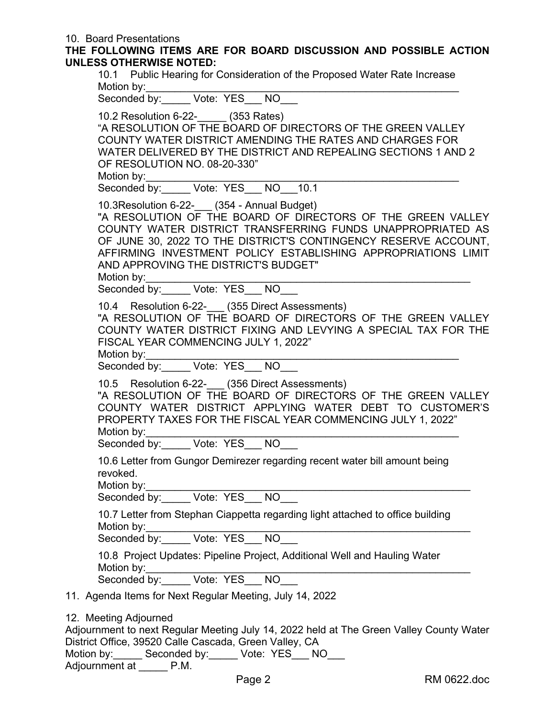## 10. Board Presentations

**THE FOLLOWING ITEMS ARE FOR BOARD DISCUSSION AND POSSIBLE ACTION UNLESS OTHERWISE NOTED:**

10.1 Public Hearing for Consideration of the Proposed Water Rate Increase Motion by:

Seconded by: \_\_\_\_\_ Vote: YES\_\_\_ NO\_\_\_

10.2 Resolution 6-22-\_\_\_\_\_ (353 Rates)

"A RESOLUTION OF THE BOARD OF DIRECTORS OF THE GREEN VALLEY COUNTY WATER DISTRICT AMENDING THE RATES AND CHARGES FOR WATER DELIVERED BY THE DISTRICT AND REPEALING SECTIONS 1 AND 2 OF RESOLUTION NO. 08-20-330"

Motion by:\_\_\_\_\_\_\_\_\_\_\_\_\_\_\_\_\_\_\_\_\_\_\_\_\_\_\_\_\_\_\_\_\_\_\_\_\_\_\_\_\_\_\_\_\_\_\_\_\_\_\_\_\_\_

Seconded by:\_\_\_\_\_ Vote: YES\_\_\_ NO\_\_\_10.1

10.3Resolution 6-22-\_\_\_ (354 - Annual Budget) "A RESOLUTION OF THE BOARD OF DIRECTORS OF THE GREEN VALLEY COUNTY WATER DISTRICT TRANSFERRING FUNDS UNAPPROPRIATED AS OF JUNE 30, 2022 TO THE DISTRICT'S CONTINGENCY RESERVE ACCOUNT, AFFIRMING INVESTMENT POLICY ESTABLISHING APPROPRIATIONS LIMIT AND APPROVING THE DISTRICT'S BUDGET"

Motion by:

Seconded by: Vote: YES NO

10.4 Resolution 6-22- (355 Direct Assessments)

"A RESOLUTION OF THE BOARD OF DIRECTORS OF THE GREEN VALLEY COUNTY WATER DISTRICT FIXING AND LEVYING A SPECIAL TAX FOR THE FISCAL YEAR COMMENCING JULY 1, 2022"

Motion by:

Seconded by: <br> Wote: YES \_\_ NO

10.5 Resolution 6-22- (356 Direct Assessments)

"A RESOLUTION OF THE BOARD OF DIRECTORS OF THE GREEN VALLEY COUNTY WATER DISTRICT APPLYING WATER DEBT TO CUSTOMER'S PROPERTY TAXES FOR THE FISCAL YEAR COMMENCING JULY 1, 2022" Motion by:

Seconded by: Vote: YES NO

10.6 Letter from Gungor Demirezer regarding recent water bill amount being revoked.

Motion by:\_\_\_\_\_\_\_\_\_\_\_\_\_\_\_\_\_\_\_\_\_\_\_\_\_\_\_\_\_\_\_\_\_\_\_\_\_\_\_\_\_\_\_\_\_\_\_\_\_\_\_\_\_\_\_\_

Seconded by:\_\_\_\_\_ Vote: YES\_\_\_ NO\_\_\_

10.7 Letter from Stephan Ciappetta regarding light attached to office building Motion by:

Seconded by: <br>Note: YES NO

10.8 Project Updates: Pipeline Project, Additional Well and Hauling Water Motion by:

Seconded by: Vote: YES NO

11. Agenda Items for Next Regular Meeting, July 14, 2022

|  | 12. Meeting Adjourned |  |  |
|--|-----------------------|--|--|
|--|-----------------------|--|--|

Adjournment to next Regular Meeting July 14, 2022 held at The Green Valley County Water District Office, 39520 Calle Cascada, Green Valley, CA

Motion by: \_\_\_\_\_ Seconded by: \_\_\_\_\_ Vote: YES\_\_\_ NO

Adjournment at P.M.